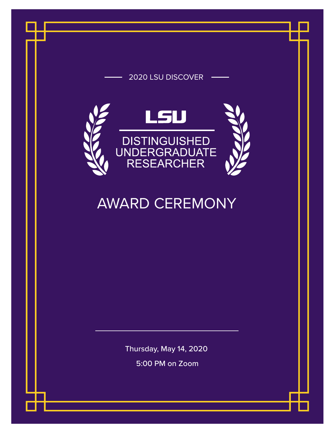## 2020 LSU DISCOVER



## AWARD CEREMONY

Thursday, May 14, 2020

5:00 PM on Zoom